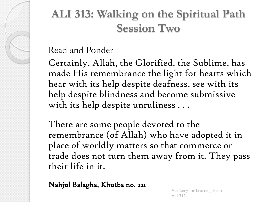# **ALI 313: Walking on the Spiritual Path Session Two**

### Read and Ponder

Certainly, Allah, the Glorified, the Sublime, has made His remembrance the light for hearts which hear with its help despite deafness, see with its help despite blindness and become submissive with its help despite unruliness . . .

There are some people devoted to the remembrance (of Allah) who have adopted it in place of worldly matters so that commerce or trade does not turn them away from it. They pass their life in it.

Nahjul Balagha, Khutba no. 221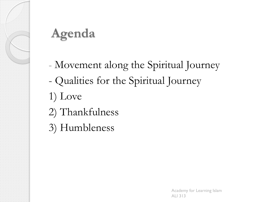

# **Agenda**

- Movement along the Spiritual Journey
- Qualities for the Spiritual Journey
- 1) Love
- 2) Thankfulness
- 3) Humbleness

Academy for Learning Islam ALI 313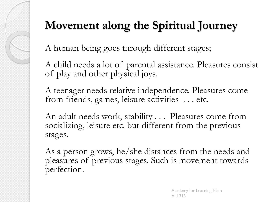# **Movement along the Spiritual Journey**

A human being goes through different stages;

A child needs a lot of parental assistance. Pleasures consist of play and other physical joys.

A teenager needs relative independence. Pleasures come from friends, games, leisure activities . . . etc.

An adult needs work, stability . . . Pleasures come from socializing, leisure etc. but different from the previous stages.

As a person grows, he/she distances from the needs and pleasures of previous stages. Such is movement towards perfection.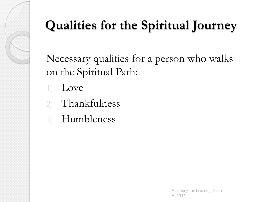

# **Qualities for the Spiritual Journey**

Necessary qualities for a person who walks on the Spiritual Path:

1) Love

- 2) Thankfulness
- 3) Humbleness

Academy for Learning Islam ALI 313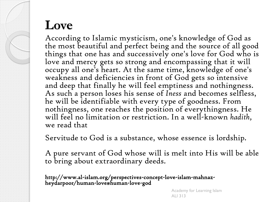## **Love**

According to Islamic mysticism, one's knowledge of God as the most beautiful and perfect being and the source of all good things that one has and successively one's love for God who is love and mercy gets so strong and encompassing that it will occupy all one's heart. At the same time, knowledge of one's weakness and deficiencies in front of God gets so intensive and deep that finally he will feel emptiness and nothingness. As such a person loses his sense of *Iness* and becomes selfless, he will be identifiable with every type of goodness. From nothingness, one reaches the position of everythingness. He will feel no limitation or restriction. In a well-known *hadith,*  we read that

Servitude to God is a substance, whose essence is lordship.

A pure servant of God whose will is melt into His will be able to bring about extraordinary deeds.

http://www.al-islam.org/perspectives-concept-love-islam-mahnazheydarpoor/human-love#human-love-god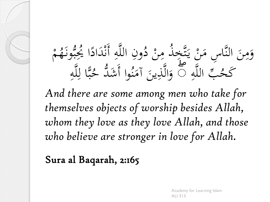### **1** م **ائی** ونِ اللَّهِ أَنْدَادًا يُجِبُّونَهُم ز<br>. ب<br>بہ<br>بہ ؚ ا ر<br>با  $\overline{\phantom{a}}$ ز<br>. ہ<br>ز  $\overline{4}$  $\ddot{\cdot}$ ُ وَمِنَ النَّاسِ مَنْ يَتَّخِذُ مِنْ دُّ<br>يَا سَمْ سَمْ مَنْ يَتَّخَذُ مِنْ دُّ ا<br>المسابق<br>المسابق<br>المسابق<br>المسابق<br>المسابق<br>كالمسابق  $\mathbf{A}$ .<br>.<br>. ،<br>نک  $\mathcal{A}$  $\overline{\phantom{a}}$  $\ddot{\phantom{0}}$  $\mathbf{A}$ ہ<br>ر  $\overline{4}$ مُبِّ اللَّهِ<br>صُبِّ اللَّهِ كَحُبِّ اللَّهِ ۞ وَالَّذِينَ آمَنُوا أَشَدُّ حُبًّا لِلَّهِ  $\overline{4}$ ِ<br>ل لنآ<br>ج ्<br>। وا أَشَدَّ حُـُّ  $\frac{1}{2}$ و<br>م  $\mathcal{A}$ وَالَّذِينَ آمَ  $\ddot{\phantom{0}}$ ِّبِ ہ<br>ر

*And there are some among men who take for themselves objects of worship besides Allah, whom they love as they love Allah, and those who believe are stronger in love for Allah.*

Sura al Baqarah, 2:165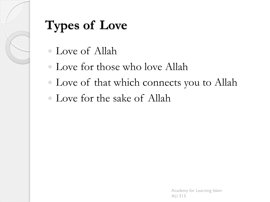

# **Types of Love**

- Love of Allah
- Love for those who love Allah
- Love of that which connects you to Allah
- Love for the sake of Allah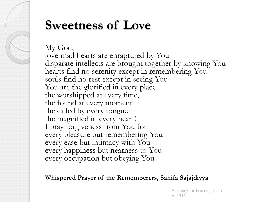# **Sweetness of Love**

My God, love-mad hearts are enraptured by You disparate intellects are brought together by knowing You hearts find no serenity except in remembering You souls find no rest except in seeing You You are the glorified in every place the worshipped at every time, the found at every moment the called by every tongue the magnified in every heart! I pray forgiveness from You for every pleasure but remembering You every ease but intimacy with You every happiness but nearness to You every occupation but obeying You

### **Whispered Prayer of the Rememberers, Sahifa Sajajdiyya**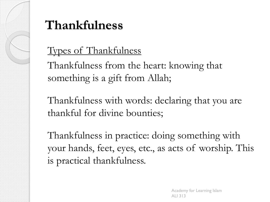

# **Thankfulness**

### Types of Thankfulness

Thankfulness from the heart: knowing that something is a gift from Allah;

Thankfulness with words: declaring that you are thankful for divine bounties;

Thankfulness in practice: doing something with your hands, feet, eyes, etc., as acts of worship. This is practical thankfulness.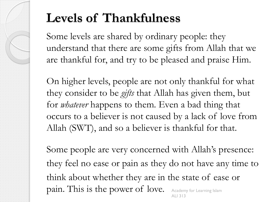# **Levels of Thankfulness**

Some levels are shared by ordinary people: they understand that there are some gifts from Allah that we are thankful for, and try to be pleased and praise Him.

On higher levels, people are not only thankful for what they consider to be *gifts* that Allah has given them, but for *whatever* happens to them. Even a bad thing that occurs to a believer is not caused by a lack of love from Allah (SWT), and so a believer is thankful for that.

Some people are very concerned with Allah's presence: they feel no ease or pain as they do not have any time to think about whether they are in the state of ease or pain. This is the power of love. Academy for Learning Islam ALI 313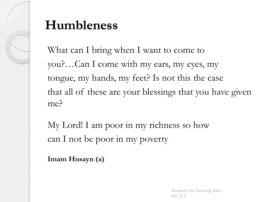

# **Humbleness**

What can I bring when I want to come to you?…Can I come with my ears, my eyes, my tongue, my hands, my feet? Is not this the case that all of these are your blessings that you have given me?

My Lord! I am poor in my richness so how can I not be poor in my poverty

**Imam Husayn (a)**